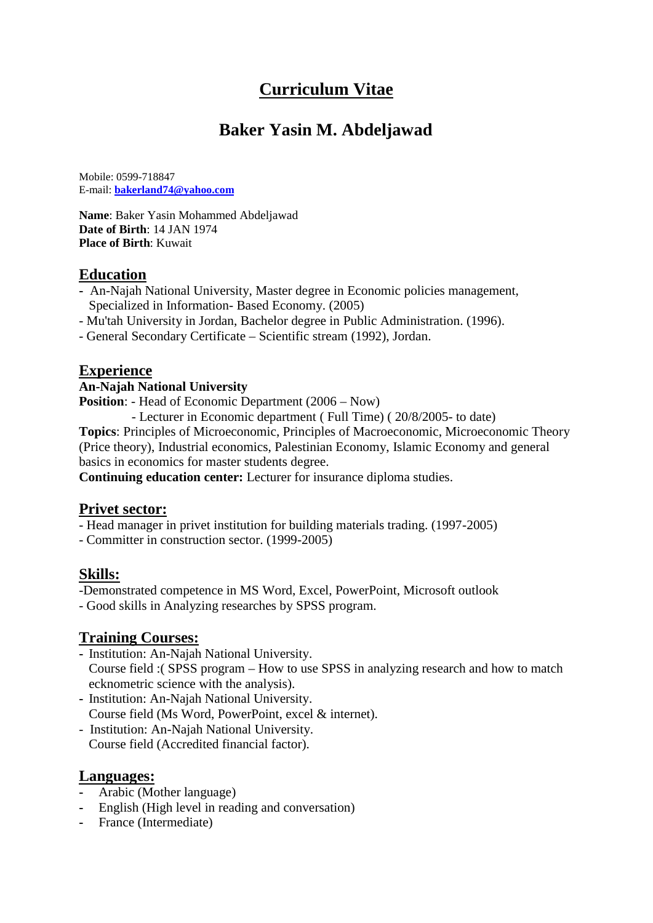# **Curriculum Vitae**

## **Baker Yasin M. Abdeljawad**

Mobile: 0599-718847 E-mail: **bakerland74@yahoo.com**

**Name**: Baker Yasin Mohammed Abdeljawad **Date of Birth**: 14 JAN 1974 **Place of Birth**: Kuwait

#### **Education**

- **-** An-Najah National University, Master degree in Economic policies management, Specialized in Information- Based Economy. (2005)
- Mu'tah University in Jordan, Bachelor degree in Public Administration. (1996).
- General Secondary Certificate Scientific stream (1992), Jordan.

#### **Experience**

#### **An-Najah National University**

- **Position:** Head of Economic Department (2006 Now)
	- Lecturer in Economic department ( Full Time) ( 20/8/2005- to date)

**Topics**: Principles of Microeconomic, Principles of Macroeconomic, Microeconomic Theory (Price theory), Industrial economics, Palestinian Economy, Islamic Economy and general basics in economics for master students degree.

**Continuing education center:** Lecturer for insurance diploma studies.

#### **Privet sector:**

- Head manager in privet institution for building materials trading. (1997-2005)

- Committer in construction sector. (1999-2005)

#### **Skills:**

-Demonstrated competence in MS Word, Excel, PowerPoint, Microsoft outlook

- Good skills in Analyzing researches by SPSS program.

#### **Training Courses:**

- **-** Institution: An-Najah National University.
- Course field :( SPSS program How to use SPSS in analyzing research and how to match ecknometric science with the analysis).
- **-** Institution: An-Najah National University. Course field (Ms Word, PowerPoint, excel & internet).
- Institution: An-Najah National University. Course field (Accredited financial factor).

#### **Languages:**

- **-** Arabic (Mother language)
- **-** English (High level in reading and conversation)
- **-** France (Intermediate)